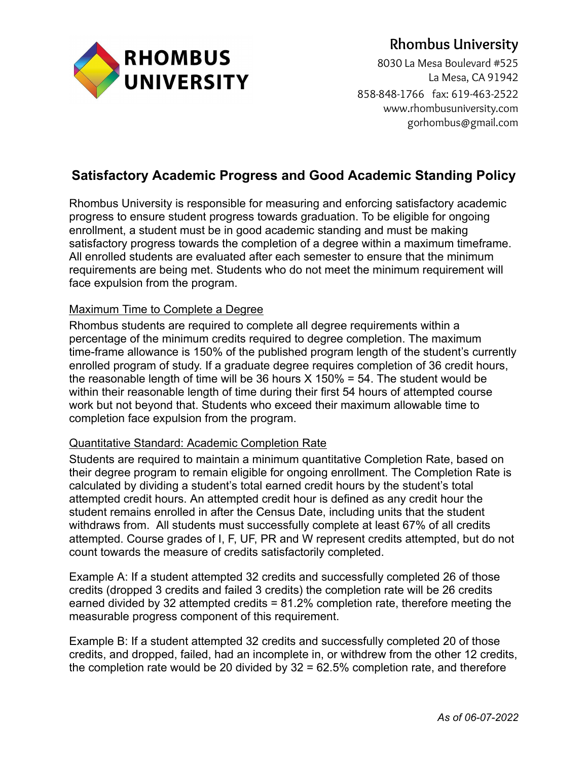

# **Rhombus University**

8030 La Mesa Boulevard #525 La Mesa, CA 91942 858-848-1766 fax: 619-463-2522 www.rhombusuniversity.com gorhombus@gmail.com

## **Satisfactory Academic Progress and Good Academic Standing Policy**

Rhombus University is responsible for measuring and enforcing satisfactory academic progress to ensure student progress towards graduation. To be eligible for ongoing enrollment, a student must be in good academic standing and must be making satisfactory progress towards the completion of a degree within a maximum timeframe. All enrolled students are evaluated after each semester to ensure that the minimum requirements are being met. Students who do not meet the minimum requirement will face expulsion from the program.

## Maximum Time to Complete a Degree

Rhombus students are required to complete all degree requirements within a percentage of the minimum credits required to degree completion. The maximum time-frame allowance is 150% of the published program length of the student's currently enrolled program of study. If a graduate degree requires completion of 36 credit hours, the reasonable length of time will be 36 hours  $X$  150% = 54. The student would be within their reasonable length of time during their first 54 hours of attempted course work but not beyond that. Students who exceed their maximum allowable time to completion face expulsion from the program.

## Quantitative Standard: Academic Completion Rate

Students are required to maintain a minimum quantitative Completion Rate, based on their degree program to remain eligible for ongoing enrollment. The Completion Rate is calculated by dividing a student's total earned credit hours by the student's total attempted credit hours. An attempted credit hour is defined as any credit hour the student remains enrolled in after the Census Date, including units that the student withdraws from. All students must successfully complete at least 67% of all credits attempted. Course grades of I, F, UF, PR and W represent credits attempted, but do not count towards the measure of credits satisfactorily completed.

Example A: If a student attempted 32 credits and successfully completed 26 of those credits (dropped 3 credits and failed 3 credits) the completion rate will be 26 credits earned divided by 32 attempted credits = 81.2% completion rate, therefore meeting the measurable progress component of this requirement.

Example B: If a student attempted 32 credits and successfully completed 20 of those credits, and dropped, failed, had an incomplete in, or withdrew from the other 12 credits, the completion rate would be 20 divided by 32 = 62.5% completion rate, and therefore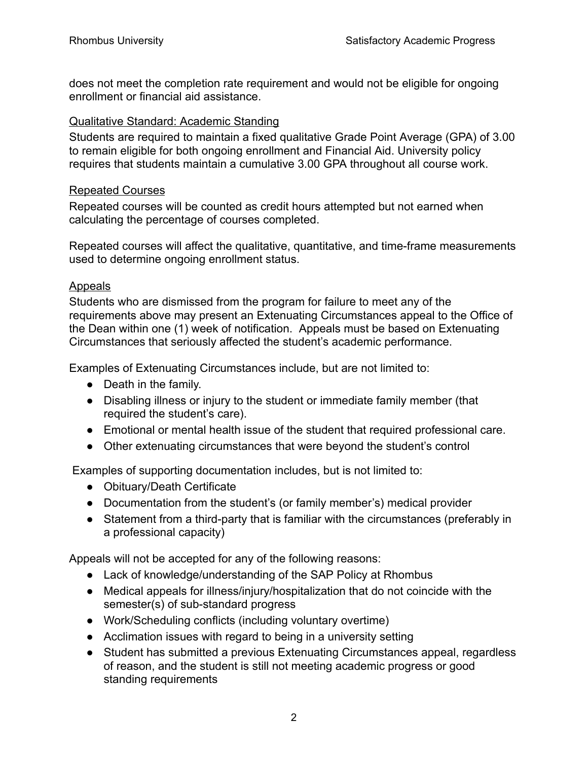does not meet the completion rate requirement and would not be eligible for ongoing enrollment or financial aid assistance.

### Qualitative Standard: Academic Standing

Students are required to maintain a fixed qualitative Grade Point Average (GPA) of 3.00 to remain eligible for both ongoing enrollment and Financial Aid. University policy requires that students maintain a cumulative 3.00 GPA throughout all course work.

## Repeated Courses

Repeated courses will be counted as credit hours attempted but not earned when calculating the percentage of courses completed.

Repeated courses will affect the qualitative, quantitative, and time-frame measurements used to determine ongoing enrollment status.

## Appeals

Students who are dismissed from the program for failure to meet any of the requirements above may present an Extenuating Circumstances appeal to the Office of the Dean within one (1) week of notification. Appeals must be based on Extenuating Circumstances that seriously affected the student's academic performance.

Examples of Extenuating Circumstances include, but are not limited to:

- Death in the family.
- Disabling illness or injury to the student or immediate family member (that required the student's care).
- Emotional or mental health issue of the student that required professional care.
- Other extenuating circumstances that were beyond the student's control

Examples of supporting documentation includes, but is not limited to:

- Obituary/Death Certificate
- Documentation from the student's (or family member's) medical provider
- Statement from a third-party that is familiar with the circumstances (preferably in a professional capacity)

Appeals will not be accepted for any of the following reasons:

- Lack of knowledge/understanding of the SAP Policy at Rhombus
- Medical appeals for illness/injury/hospitalization that do not coincide with the semester(s) of sub-standard progress
- Work/Scheduling conflicts (including voluntary overtime)
- Acclimation issues with regard to being in a university setting
- Student has submitted a previous Extenuating Circumstances appeal, regardless of reason, and the student is still not meeting academic progress or good standing requirements